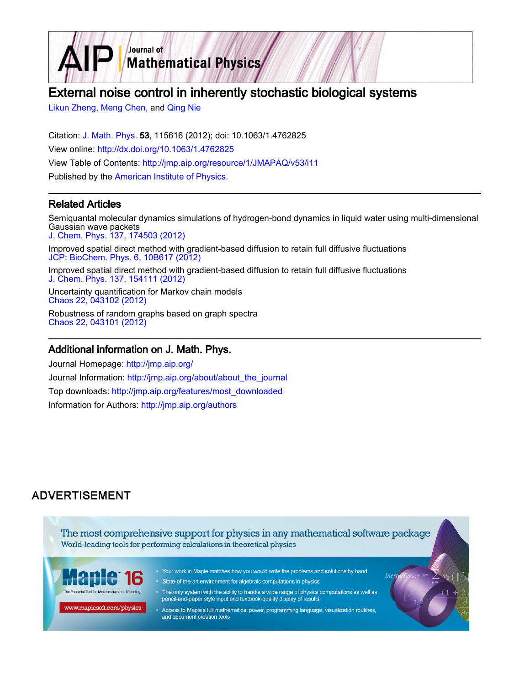

# External noise control in inherently stochastic biological systems

[Likun Zheng](http://jmp.aip.org/search?sortby=newestdate&q=&searchzone=2&searchtype=searchin&faceted=faceted&key=AIP_ALL&possible1=Likun Zheng&possible1zone=author&alias=&displayid=AIP&ver=pdfcov), [Meng Chen](http://jmp.aip.org/search?sortby=newestdate&q=&searchzone=2&searchtype=searchin&faceted=faceted&key=AIP_ALL&possible1=Meng Chen&possible1zone=author&alias=&displayid=AIP&ver=pdfcov), and [Qing Nie](http://jmp.aip.org/search?sortby=newestdate&q=&searchzone=2&searchtype=searchin&faceted=faceted&key=AIP_ALL&possible1=Qing Nie&possible1zone=author&alias=&displayid=AIP&ver=pdfcov)

Citation: [J. Math. Phys.](http://jmp.aip.org/?ver=pdfcov) 53, 115616 (2012); doi: 10.1063/1.4762825 View online: [http://dx.doi.org/10.1063/1.4762825](http://link.aip.org/link/doi/10.1063/1.4762825?ver=pdfcov) View Table of Contents: [http://jmp.aip.org/resource/1/JMAPAQ/v53/i11](http://jmp.aip.org/resource/1/JMAPAQ/v53/i11?ver=pdfcov) Published by the [American Institute of Physics.](http://www.aip.org/?ver=pdfcov)

## Related Articles

Semiquantal molecular dynamics simulations of hydrogen-bond dynamics in liquid water using multi-dimensional Gaussian wave packets [J. Chem. Phys. 137, 174503 \(2012\)](http://link.aip.org/link/doi/10.1063/1.4762840?ver=pdfcov)

Improved spatial direct method with gradient-based diffusion to retain full diffusive fluctuations [JCP: BioChem. Phys. 6, 10B617 \(2012\)](http://link.aip.org/link/doi/10.1063/1.4758459?ver=pdfcov)

Improved spatial direct method with gradient-based diffusion to retain full diffusive fluctuations [J. Chem. Phys. 137, 154111 \(2012\)](http://link.aip.org/link/doi/10.1063/1.4758459?ver=pdfcov)

Uncertainty quantification for Markov chain models [Chaos 22, 043102 \(2012\)](http://link.aip.org/link/doi/10.1063/1.4757645?ver=pdfcov)

Robustness of random graphs based on graph spectra [Chaos 22, 043101 \(2012\)](http://link.aip.org/link/doi/10.1063/1.4754875?ver=pdfcov)

### Additional information on J. Math. Phys.

Journal Homepage: [http://jmp.aip.org/](http://jmp.aip.org/?ver=pdfcov) Journal Information: [http://jmp.aip.org/about/about\\_the\\_journal](http://jmp.aip.org/about/about_the_journal?ver=pdfcov) Top downloads: [http://jmp.aip.org/features/most\\_downloaded](http://jmp.aip.org/features/most_downloaded?ver=pdfcov) Information for Authors: [http://jmp.aip.org/authors](http://jmp.aip.org/authors?ver=pdfcov)

## **ADVERTISEMENT**

The most comprehensive support for physics in any mathematical software package World-leading tools for performing calculations in theoretical physics



www.maplesoft.com/physics

- Your work in Maple matches how you would write the problems and solutions by hand • State-of-the-art environment for algebraic computations in physics
- The only system with the ability to handle a wide range of physics computations as well as pencil-and-paper style input and textbook-quality display of results

• Access to Maple's full mathematical power, programming language, visualization routines, and document creation tools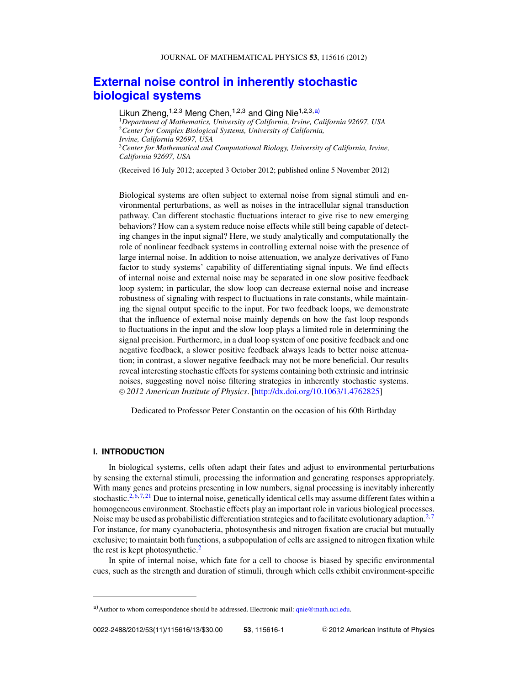## **[External noise control in inherently stochastic](http://dx.doi.org/10.1063/1.4762825) [biological systems](http://dx.doi.org/10.1063/1.4762825)**

Likun Zheng,  $1,2,3$  Meng Chen,  $1,2,3$  and Qing Nie  $1,2,3, a$ ) <sup>1</sup>*Department of Mathematics, University of California, Irvine, California 92697, USA* <sup>2</sup>*Center for Complex Biological Systems, University of California, Irvine, California 92697, USA* <sup>3</sup>*Center for Mathematical and Computational Biology, University of California, Irvine, California 92697, USA*

(Received 16 July 2012; accepted 3 October 2012; published online 5 November 2012)

Biological systems are often subject to external noise from signal stimuli and environmental perturbations, as well as noises in the intracellular signal transduction pathway. Can different stochastic fluctuations interact to give rise to new emerging behaviors? How can a system reduce noise effects while still being capable of detecting changes in the input signal? Here, we study analytically and computationally the role of nonlinear feedback systems in controlling external noise with the presence of large internal noise. In addition to noise attenuation, we analyze derivatives of Fano factor to study systems' capability of differentiating signal inputs. We find effects of internal noise and external noise may be separated in one slow positive feedback loop system; in particular, the slow loop can decrease external noise and increase robustness of signaling with respect to fluctuations in rate constants, while maintaining the signal output specific to the input. For two feedback loops, we demonstrate that the influence of external noise mainly depends on how the fast loop responds to fluctuations in the input and the slow loop plays a limited role in determining the signal precision. Furthermore, in a dual loop system of one positive feedback and one negative feedback, a slower positive feedback always leads to better noise attenuation; in contrast, a slower negative feedback may not be more beneficial. Our results reveal interesting stochastic effects for systems containing both extrinsic and intrinsic noises, suggesting novel noise filtering strategies in inherently stochastic systems. -<sup>C</sup> *2012 American Institute of Physics*. [\[http://dx.doi.org/10.1063/1.4762825\]](http://dx.doi.org/10.1063/1.4762825)

Dedicated to Professor Peter Constantin on the occasion of his 60th Birthday

#### **I. INTRODUCTION**

In biological systems, cells often adapt their fates and adjust to environmental perturbations by sensing the external stimuli, processing the information and generating responses appropriately. With many genes and proteins presenting in low numbers, signal processing is inevitably inherently stochastic.<sup>[2,](#page-13-0) [6,](#page-13-0) [7,](#page-13-0) [21](#page-13-0)</sup> Due to internal noise, genetically identical cells may assume different fates within a homogeneous environment. Stochastic effects play an important role in various biological processes. Noise may be used as probabilistic differentiation strategies and to facilitate evolutionary adaption.<sup>2,[7](#page-13-0)</sup> For instance, for many cyanobacteria, photosynthesis and nitrogen fixation are crucial but mutually exclusive; to maintain both functions, a subpopulation of cells are assigned to nitrogen fixation while the rest is kept photosynthetic. $<sup>2</sup>$  $<sup>2</sup>$  $<sup>2</sup>$ </sup>

In spite of internal noise, which fate for a cell to choose is biased by specific environmental cues, such as the strength and duration of stimuli, through which cells exhibit environment-specific

a) Author to whom correspondence should be addressed. Electronic mail: [qnie@math.uci.edu.](mailto: qnie@math.uci.edu)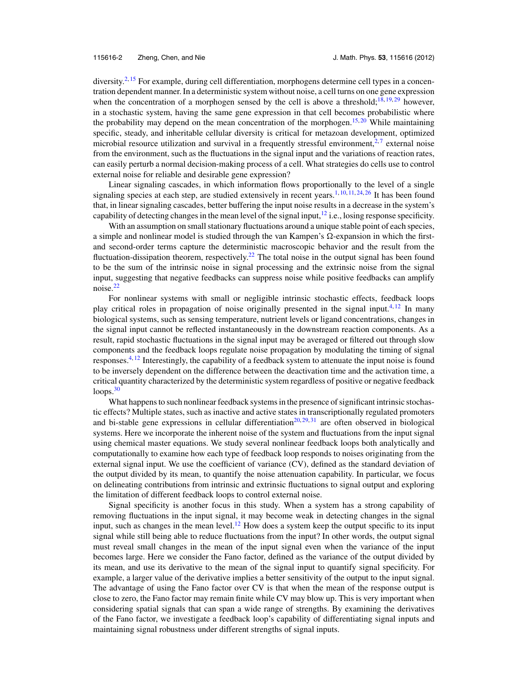diversity.<sup>[2,](#page-13-0) [15](#page-13-0)</sup> For example, during cell differentiation, morphogens determine cell types in a concentration dependent manner. In a deterministic system without noise, a cell turns on one gene expression when the concentration of a morphogen sensed by the cell is above a threshold;<sup>18, [19,](#page-13-0) [29](#page-13-0)</sup> however, in a stochastic system, having the same gene expression in that cell becomes probabilistic where the probability may depend on the mean concentration of the morphogen.<sup>15, [20](#page-13-0)</sup> While maintaining specific, steady, and inheritable cellular diversity is critical for metazoan development, optimized microbial resource utilization and survival in a frequently stressful environment,<sup>[2,](#page-13-0)[7](#page-13-0)</sup> external noise from the environment, such as the fluctuations in the signal input and the variations of reaction rates, can easily perturb a normal decision-making process of a cell. What strategies do cells use to control external noise for reliable and desirable gene expression?

Linear signaling cascades, in which information flows proportionally to the level of a single signaling species at each step, are studied extensively in recent years.<sup>[1,](#page-13-0) [10,](#page-13-0) [11,](#page-13-0) [24,](#page-13-0) [26](#page-13-0)</sup> It has been found that, in linear signaling cascades, better buffering the input noise results in a decrease in the system's capability of detecting changes in the mean level of the signal input, $12$  i.e., losing response specificity.

With an assumption on small stationary fluctuations around a unique stable point of each species, a simple and nonlinear model is studied through the van Kampen's  $\Omega$ -expansion in which the firstand second-order terms capture the deterministic macroscopic behavior and the result from the fluctuation-dissipation theorem, respectively.<sup>22</sup> The total noise in the output signal has been found to be the sum of the intrinsic noise in signal processing and the extrinsic noise from the signal input, suggesting that negative feedbacks can suppress noise while positive feedbacks can amplify noise. $^{22}$ 

For nonlinear systems with small or negligible intrinsic stochastic effects, feedback loops play critical roles in propagation of noise originally presented in the signal input.<sup>4, [12](#page-13-0)</sup> In many biological systems, such as sensing temperature, nutrient levels or ligand concentrations, changes in the signal input cannot be reflected instantaneously in the downstream reaction components. As a result, rapid stochastic fluctuations in the signal input may be averaged or filtered out through slow components and the feedback loops regulate noise propagation by modulating the timing of signal responses[.4,](#page-13-0) [12](#page-13-0) Interestingly, the capability of a feedback system to attenuate the input noise is found to be inversely dependent on the difference between the deactivation time and the activation time, a critical quantity characterized by the deterministic system regardless of positive or negative feedback  $loops.<sup>30</sup>$ 

What happens to such nonlinear feedback systems in the presence of significant intrinsic stochastic effects? Multiple states, such as inactive and active states in transcriptionally regulated promoters and bi-stable gene expressions in cellular differentiation<sup>20, [29,](#page-13-0) [31](#page-13-0)</sup> are often observed in biological systems. Here we incorporate the inherent noise of the system and fluctuations from the input signal using chemical master equations. We study several nonlinear feedback loops both analytically and computationally to examine how each type of feedback loop responds to noises originating from the external signal input. We use the coefficient of variance (CV), defined as the standard deviation of the output divided by its mean, to quantify the noise attenuation capability. In particular, we focus on delineating contributions from intrinsic and extrinsic fluctuations to signal output and exploring the limitation of different feedback loops to control external noise.

Signal specificity is another focus in this study. When a system has a strong capability of removing fluctuations in the input signal, it may become weak in detecting changes in the signal input, such as changes in the mean level.<sup>12</sup> How does a system keep the output specific to its input signal while still being able to reduce fluctuations from the input? In other words, the output signal must reveal small changes in the mean of the input signal even when the variance of the input becomes large. Here we consider the Fano factor, defined as the variance of the output divided by its mean, and use its derivative to the mean of the signal input to quantify signal specificity. For example, a larger value of the derivative implies a better sensitivity of the output to the input signal. The advantage of using the Fano factor over CV is that when the mean of the response output is close to zero, the Fano factor may remain finite while CV may blow up. This is very important when considering spatial signals that can span a wide range of strengths. By examining the derivatives of the Fano factor, we investigate a feedback loop's capability of differentiating signal inputs and maintaining signal robustness under different strengths of signal inputs.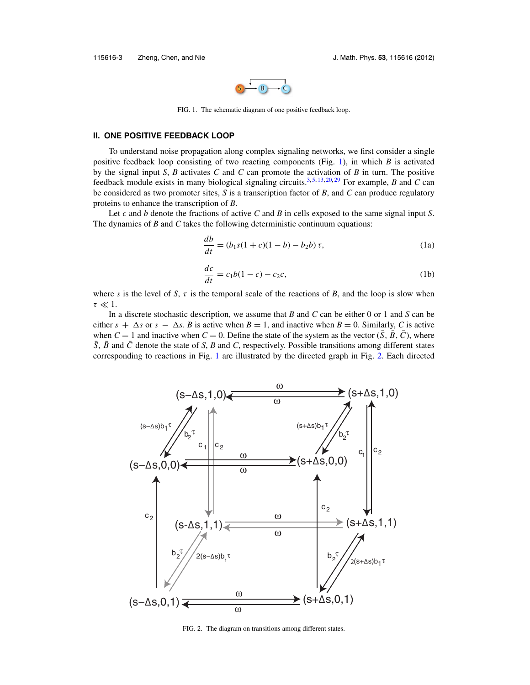

FIG. 1. The schematic diagram of one positive feedback loop.

### <span id="page-3-0"></span>**II. ONE POSITIVE FEEDBACK LOOP**

To understand noise propagation along complex signaling networks, we first consider a single positive feedback loop consisting of two reacting components (Fig. 1), in which *B* is activated by the signal input *S*, *B* activates *C* and *C* can promote the activation of *B* in turn. The positive feedback module exists in many biological signaling circuits[.3,](#page-13-0) [5,](#page-13-0) [13,](#page-13-0) [20,](#page-13-0) [29](#page-13-0) For example, *B* and *C* can be considered as two promoter sites, *S* is a transcription factor of *B*, and *C* can produce regulatory proteins to enhance the transcription of *B*.

Let *c* and *b* denote the fractions of active *C* and *B* in cells exposed to the same signal input *S*. The dynamics of *B* and *C* takes the following deterministic continuum equations:

$$
\frac{db}{dt} = (b_1s(1+c)(1-b) - b_2b)\tau,
$$
\n(1a)

$$
\frac{dc}{dt} = c_1 b(1 - c) - c_2 c,\tag{1b}
$$

where *s* is the level of *S*,  $\tau$  is the temporal scale of the reactions of *B*, and the loop is slow when  $\tau \ll 1$ .

In a discrete stochastic description, we assume that *B* and *C* can be either 0 or 1 and *S* can be either  $s + \Delta s$  or  $s - \Delta s$ . *B* is active when  $B = 1$ , and inactive when  $B = 0$ . Similarly, *C* is active when  $C = 1$  and inactive when  $C = 0$ . Define the state of the system as the vector  $(S, B, C)$ , where  $\overline{S}$ ,  $\overline{B}$  and  $\overline{C}$  denote the state of *S*, *B* and *C*, respectively. Possible transitions among different states corresponding to reactions in Fig. 1 are illustrated by the directed graph in Fig. 2. Each directed



FIG. 2. The diagram on transitions among different states.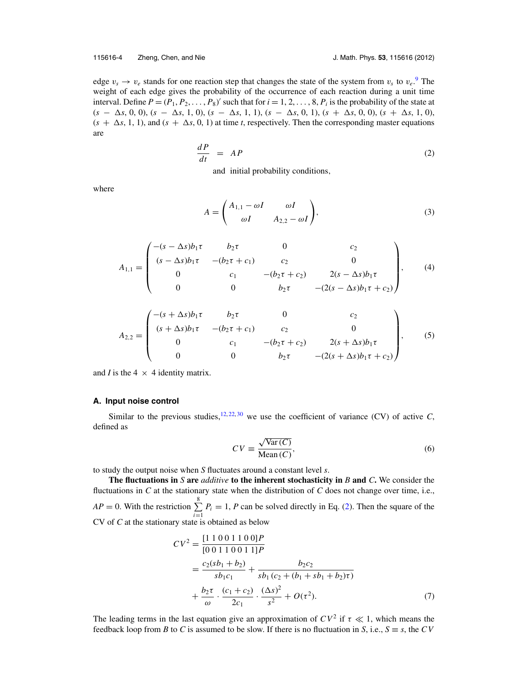#### <span id="page-4-0"></span>115616-4 Zheng, Chen, and Nie J. Math. Phys. **53**, 115616 (2012)

edge  $v_s \to v_e$  stands for one reaction step that changes the state of the system from  $v_s$  to  $v_e$ .<sup>[9](#page-13-0)</sup> The weight of each edge gives the probability of the occurrence of each reaction during a unit time interval. Define  $P = (P_1, P_2, \ldots, P_8)$ ' such that for  $i = 1, 2, \ldots, 8, P_i$  is the probability of the state at (*s* − *s*, 0, 0), (*s* − *s*, 1, 0), (*s* − *s*, 1, 1), (*s* − *s*, 0, 1), (*s* + *s*, 0, 0), (*s* + *s*, 1, 0),  $(s + \Delta s, 1, 1)$ , and  $(s + \Delta s, 0, 1)$  at time *t*, respectively. Then the corresponding master equations are

$$
\frac{dP}{dt} = AP \tag{2}
$$

and initial probability conditions,

where

$$
A = \begin{pmatrix} A_{1,1} - \omega I & \omega I \\ \omega I & A_{2,2} - \omega I \end{pmatrix},
$$
 (3)

$$
A_{1,1} = \begin{pmatrix} -(s - \Delta s)b_1\tau & b_2\tau & 0 & c_2 \\ (s - \Delta s)b_1\tau & -(b_2\tau + c_1) & c_2 & 0 \\ 0 & c_1 & -(b_2\tau + c_2) & 2(s - \Delta s)b_1\tau \\ 0 & 0 & b_2\tau & -(2(s - \Delta s)b_1\tau + c_2) \end{pmatrix},
$$
(4)

$$
A_{2,2} = \begin{pmatrix} -(s + \Delta s)b_1\tau & b_2\tau & 0 & c_2 \\ (s + \Delta s)b_1\tau & -(b_2\tau + c_1) & c_2 & 0 \\ 0 & c_1 & -(b_2\tau + c_2) & 2(s + \Delta s)b_1\tau \\ 0 & 0 & b_2\tau & -(2(s + \Delta s)b_1\tau + c_2) \end{pmatrix},
$$
(5)

and *I* is the  $4 \times 4$  identity matrix.

#### **A. Input noise control**

Similar to the previous studies,<sup>[12,](#page-13-0) [22,](#page-13-0) [30](#page-13-0)</sup> we use the coefficient of variance (CV) of active *C*, defined as

$$
CV \equiv \frac{\sqrt{\text{Var}(C)}}{\text{Mean}(C)},
$$
\n(6)

to study the output noise when *S* fluctuates around a constant level *s*.

**The fluctuations in** *S* **are** *additive* **to the inherent stochasticity in** *B* **and** *C***.** We consider the fluctuations in *C* at the stationary state when the distribution of *C* does not change over time, i.e.,  $AP = 0$ . With the restriction  $\sum_{n=1}^{8}$  $\sum_{i=1} P_i = 1$ , *P* can be solved directly in Eq. (2). Then the square of the CV of *C* at the stationary state is obtained as below

$$
CV^2 = \frac{[1\ 1\ 0\ 0\ 1\ 1\ 0\ 0]\ P}{[0\ 0\ 1\ 1\ 0\ 0\ 1\ 1]\ P}
$$
  
=  $\frac{c_2(sb_1 + b_2)}{sb_1c_1} + \frac{b_2c_2}{sb_1(c_2 + (b_1 + sb_1 + b_2)\tau)}$   
+  $\frac{b_2\tau}{\omega} \cdot \frac{(c_1 + c_2)}{2c_1} \cdot \frac{(\Delta s)^2}{s^2} + O(\tau^2)$ . (7)

The leading terms in the last equation give an approximation of  $CV^2$  if  $\tau \ll 1$ , which means the feedback loop from *B* to *C* is assumed to be slow. If there is no fluctuation in *S*, i.e.,  $S \equiv s$ , the *CV*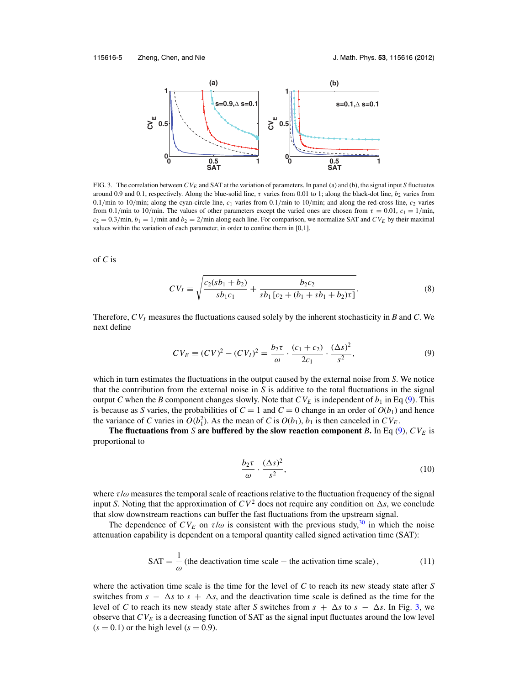

FIG. 3. The correlation between  $CV_E$  and SAT at the variation of parameters. In panel (a) and (b), the signal input *S* fluctuates around 0.9 and 0.1, respectively. Along the blue-solid line, τ varies from 0.01 to 1; along the black-dot line, *b*<sup>2</sup> varies from  $0.1/\text{min}$  to  $10/\text{min}$ ; along the cyan-circle line,  $c_1$  varies from  $0.1/\text{min}$  to  $10/\text{min}$ ; and along the red-cross line,  $c_2$  varies from 0.1/min to 10/min. The values of other parameters except the varied ones are chosen from  $\tau = 0.01$ ,  $c_1 = 1/min$ ,  $c_2 = 0.3/\text{min}$ ,  $b_1 = 1/\text{min}$  and  $b_2 = 2/\text{min}$  along each line. For comparison, we normalize SAT and *CV<sub>E</sub>* by their maximal values within the variation of each parameter, in order to confine them in [0,1].

of *C* is

$$
CV_{I} \equiv \sqrt{\frac{c_{2}(sb_{1} + b_{2})}{sb_{1}c_{1}} + \frac{b_{2}c_{2}}{sb_{1}\left[c_{2} + (b_{1} + sb_{1} + b_{2})\tau\right]}}.
$$
\n(8)

Therefore, *CVI* measures the fluctuations caused solely by the inherent stochasticity in *B* and *C*. We next define

$$
CV_E \equiv (CV)^2 - (CV_I)^2 = \frac{b_2 \tau}{\omega} \cdot \frac{(c_1 + c_2)}{2c_1} \cdot \frac{(\Delta s)^2}{s^2},
$$
\n(9)

which in turn estimates the fluctuations in the output caused by the external noise from *S*. We notice that the contribution from the external noise in *S* is additive to the total fluctuations in the signal output *C* when the *B* component changes slowly. Note that  $CV_E$  is independent of  $b_1$  in Eq (9). This is because as *S* varies, the probabilities of  $C = 1$  and  $C = 0$  change in an order of  $O(b_1)$  and hence the variance of *C* varies in  $O(b_1^2)$ . As the mean of *C* is  $O(b_1)$ ,  $b_1$  is then canceled in  $CV_E$ .

**The fluctuations from** *S* **are buffered by the slow reaction component** *B***<b>.** In Eq (9),  $CV_E$  is proportional to

$$
\frac{b_2\tau}{\omega} \cdot \frac{(\Delta s)^2}{s^2},\tag{10}
$$

where  $\tau/\omega$  measures the temporal scale of reactions relative to the fluctuation frequency of the signal input *S*. Noting that the approximation of  $CV^2$  does not require any condition on  $\Delta s$ , we conclude that slow downstream reactions can buffer the fast fluctuations from the upstream signal.

The dependence of  $CV_E$  on  $\tau/\omega$  is consistent with the previous study,<sup>[30](#page-13-0)</sup> in which the noise attenuation capability is dependent on a temporal quantity called signed activation time (SAT):

$$
SAT = \frac{1}{\omega}
$$
 (the deactivation time scale – the activation time scale), (11)

where the activation time scale is the time for the level of *C* to reach its new steady state after *S* switches from  $s - \Delta s$  to  $s + \Delta s$ , and the deactivation time scale is defined as the time for the level of *C* to reach its new steady state after *S* switches from  $s + \Delta s$  to  $s - \Delta s$ . In Fig. 3, we observe that  $CV_E$  is a decreasing function of SAT as the signal input fluctuates around the low level  $(s = 0.1)$  or the high level  $(s = 0.9)$ .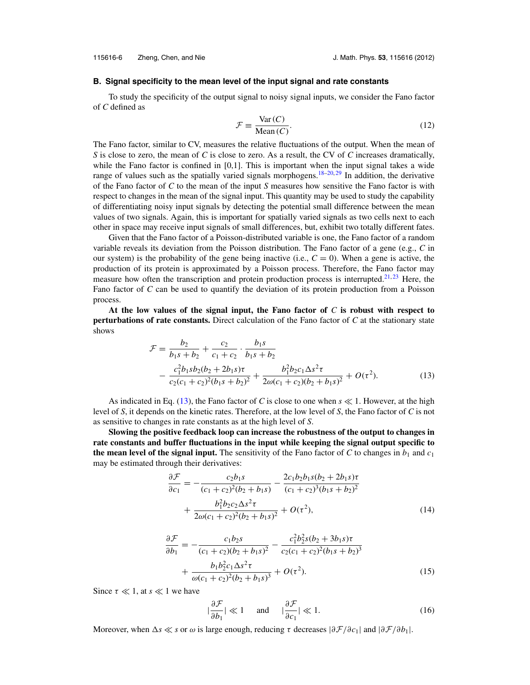#### <span id="page-6-0"></span>**B. Signal specificity to the mean level of the input signal and rate constants**

To study the specificity of the output signal to noisy signal inputs, we consider the Fano factor of *C* defined as

$$
\mathcal{F} \equiv \frac{\text{Var}(C)}{\text{Mean}(C)}.\tag{12}
$$

The Fano factor, similar to CV, measures the relative fluctuations of the output. When the mean of *S* is close to zero, the mean of *C* is close to zero. As a result, the CV of *C* increases dramatically, while the Fano factor is confined in [0,1]. This is important when the input signal takes a wide range of values such as the spatially varied signals morphogens.<sup>[18–20,](#page-13-0) [29](#page-13-0)</sup> In addition, the derivative of the Fano factor of *C* to the mean of the input *S* measures how sensitive the Fano factor is with respect to changes in the mean of the signal input. This quantity may be used to study the capability of differentiating noisy input signals by detecting the potential small difference between the mean values of two signals. Again, this is important for spatially varied signals as two cells next to each other in space may receive input signals of small differences, but, exhibit two totally different fates.

Given that the Fano factor of a Poisson-distributed variable is one, the Fano factor of a random variable reveals its deviation from the Poisson distribution. The Fano factor of a gene (e.g., *C* in our system) is the probability of the gene being inactive (i.e.,  $C = 0$ ). When a gene is active, the production of its protein is approximated by a Poisson process. Therefore, the Fano factor may measure how often the transcription and protein production process is interrupted.<sup>21, [23](#page-13-0)</sup> Here, the Fano factor of *C* can be used to quantify the deviation of its protein production from a Poisson process.

**At the low values of the signal input, the Fano factor of** *C* **is robust with respect to perturbations of rate constants.** Direct calculation of the Fano factor of *C* at the stationary state shows

$$
\mathcal{F} = \frac{b_2}{b_1s + b_2} + \frac{c_2}{c_1 + c_2} \cdot \frac{b_1s}{b_1s + b_2} \n- \frac{c_1^2b_1sb_2(b_2 + 2b_1s)\tau}{c_2(c_1 + c_2)^2(b_1s + b_2)^2} + \frac{b_1^2b_2c_1\Delta s^2\tau}{2\omega(c_1 + c_2)(b_2 + b_1s)^2} + O(\tau^2).
$$
\n(13)

As indicated in Eq. (13), the Fano factor of *C* is close to one when  $s \ll 1$ . However, at the high level of *S*, it depends on the kinetic rates. Therefore, at the low level of *S*, the Fano factor of *C* is not as sensitive to changes in rate constants as at the high level of *S*.

**Slowing the positive feedback loop can increase the robustness of the output to changes in rate constants and buffer fluctuations in the input while keeping the signal output specific to the mean level of the signal input.** The sensitivity of the Fano factor of *C* to changes in  $b_1$  and  $c_1$ may be estimated through their derivatives:

$$
\frac{\partial \mathcal{F}}{\partial c_1} = -\frac{c_2 b_1 s}{(c_1 + c_2)^2 (b_2 + b_1 s)} - \frac{2c_1 b_2 b_1 s (b_2 + 2b_1 s) \tau}{(c_1 + c_2)^3 (b_1 s + b_2)^2} \n+ \frac{b_1^2 b_2 c_2 \Delta s^2 \tau}{2 \omega (c_1 + c_2)^2 (b_2 + b_1 s)^2} + O(\tau^2),
$$
\n(14)

$$
\frac{\partial \mathcal{F}}{\partial b_1} = -\frac{c_1 b_2 s}{(c_1 + c_2)(b_2 + b_1 s)^2} - \frac{c_1^2 b_2^2 s (b_2 + 3 b_1 s) \tau}{c_2 (c_1 + c_2)^2 (b_1 s + b_2)^3} \n+ \frac{b_1 b_2^2 c_1 \Delta s^2 \tau}{\omega (c_1 + c_2)^2 (b_2 + b_1 s)^3} + O(\tau^2).
$$
\n(15)

Since  $\tau \ll 1$ , at  $s \ll 1$  we have

$$
|\frac{\partial \mathcal{F}}{\partial b_1}| \ll 1 \quad \text{and} \quad |\frac{\partial \mathcal{F}}{\partial c_1}| \ll 1. \tag{16}
$$

Moreover, when  $\Delta s \ll s$  or  $\omega$  is large enough, reducing  $\tau$  decreases  $|\partial \mathcal{F}/\partial c_1|$  and  $|\partial \mathcal{F}/\partial b_1|$ .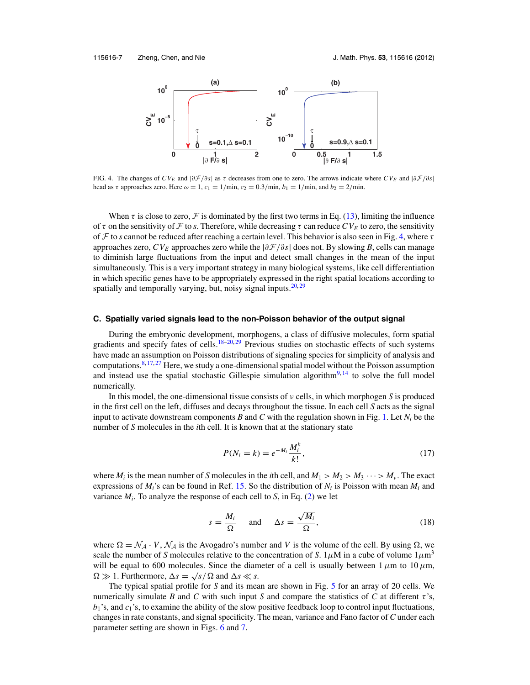

FIG. 4. The changes of  $CV_E$  and  $\frac{\partial \mathcal{F}}{\partial s}$  as  $\tau$  decreases from one to zero. The arrows indicate where  $CV_E$  and  $\frac{\partial \mathcal{F}}{\partial s}$ head as  $\tau$  approaches zero. Here  $\omega = 1$ ,  $c_1 = 1/\text{min}$ ,  $c_2 = 0.3/\text{min}$ ,  $b_1 = 1/\text{min}$ , and  $b_2 = 2/\text{min}$ .

When  $\tau$  is close to zero,  $\mathcal F$  is dominated by the first two terms in Eq. [\(13\)](#page-6-0), limiting the influence of  $\tau$  on the sensitivity of F to *s*. Therefore, while decreasing  $\tau$  can reduce  $CV_E$  to zero, the sensitivity of F to *s* cannot be reduced after reaching a certain level. This behavior is also seen in Fig. 4, where τ approaches zero, *CVE* approaches zero while the |∂F/∂*s*| does not. By slowing *B*, cells can manage to diminish large fluctuations from the input and detect small changes in the mean of the input simultaneously. This is a very important strategy in many biological systems, like cell differentiation in which specific genes have to be appropriately expressed in the right spatial locations according to spatially and temporally varying, but, noisy signal inputs. $20,29$  $20,29$ 

#### **C. Spatially varied signals lead to the non-Poisson behavior of the output signal**

During the embryonic development, morphogens, a class of diffusive molecules, form spatial gradients and specify fates of cells.<sup>18–20, [29](#page-13-0)</sup> Previous studies on stochastic effects of such systems have made an assumption on Poisson distributions of signaling species for simplicity of analysis and computations. $8,17,27$  $8,17,27$  $8,17,27$  Here, we study a one-dimensional spatial model without the Poisson assumption and instead use the spatial stochastic Gillespie simulation algorithm<sup>[9,](#page-13-0) [14](#page-13-0)</sup> to solve the full model numerically.

In this model, the one-dimensional tissue consists of ν cells, in which morphogen *S* is produced in the first cell on the left, diffuses and decays throughout the tissue. In each cell *S* acts as the signal input to activate downstream components *B* and *C* with the regulation shown in Fig. [1.](#page-3-0) Let  $N_i$  be the number of *S* molecules in the *i*th cell. It is known that at the stationary state

$$
P(N_i = k) = e^{-M_i} \frac{M_i^k}{k!},
$$
\n(17)

where  $M_i$  is the mean number of *S* molecules in the *i*th cell, and  $M_1 > M_2 > M_3 \cdots > M_\nu$ . The exact expressions of  $M_i$ 's can be found in Ref. [15.](#page-13-0) So the distribution of  $N_i$  is Poisson with mean  $M_i$  and variance  $M_i$ . To analyze the response of each cell to *S*, in Eq. [\(2\)](#page-4-0) we let

$$
s = \frac{M_i}{\Omega} \quad \text{and} \quad \Delta s = \frac{\sqrt{M_i}}{\Omega}, \tag{18}
$$

where  $\Omega = \mathcal{N}_{\mathcal{A}} \cdot V$ ,  $\mathcal{N}_{\mathcal{A}}$  is the Avogadro's number and *V* is the volume of the cell. By using  $\Omega$ , we scale the number of *S* molecules relative to the concentration of *S*. 1 $\mu$ M in a cube of volume 1 $\mu$ m<sup>3</sup> will be equal to 600 molecules. Since the diameter of a cell is usually between  $1 \mu$ m to  $10 \mu$ m,  $\Omega \gg 1$ . Furthermore,  $\Delta s = \sqrt{s/\Omega}$  and  $\Delta s \ll s$ .

The typical spatial profile for *S* and its mean are shown in Fig. [5](#page-8-0) for an array of 20 cells. We numerically simulate *B* and *C* with such input *S* and compare the statistics of *C* at different  $\tau$ 's,  $b_1$ 's, and  $c_1$ 's, to examine the ability of the slow positive feedback loop to control input fluctuations, changes in rate constants, and signal specificity. The mean, variance and Fano factor of *C* under each parameter setting are shown in Figs. [6](#page-8-0) and [7.](#page-9-0)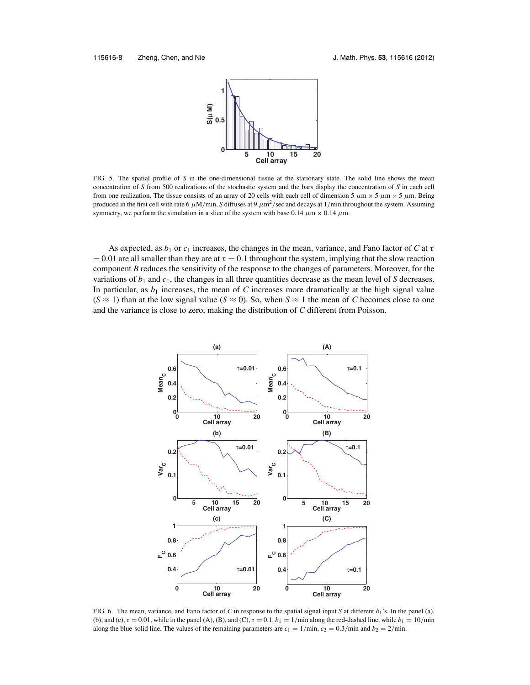

<span id="page-8-0"></span>FIG. 5. The spatial profile of *S* in the one-dimensional tissue at the stationary state. The solid line shows the mean concentration of *S* from 500 realizations of the stochastic system and the bars display the concentration of *S* in each cell from one realization. The tissue consists of an array of 20 cells with each cell of dimension 5  $\mu$ m × 5  $\mu$ m × 5  $\mu$ m. Being produced in the first cell with rate 6  $\mu$ M/min, *S* diffuses at 9  $\mu$ m<sup>2</sup>/sec and decays at 1/min throughout the system. Assuming symmetry, we perform the simulation in a slice of the system with base 0.14  $\mu$ m × 0.14  $\mu$ m.

As expected, as  $b_1$  or  $c_1$  increases, the changes in the mean, variance, and Fano factor of C at  $\tau$  $= 0.01$  are all smaller than they are at  $\tau = 0.1$  throughout the system, implying that the slow reaction component *B* reduces the sensitivity of the response to the changes of parameters. Moreover, for the variations of *b*<sup>1</sup> and *c*1, the changes in all three quantities decrease as the mean level of *S* decreases. In particular, as  $b_1$  increases, the mean of *C* increases more dramatically at the high signal value  $(S \approx 1)$  than at the low signal value  $(S \approx 0)$ . So, when  $S \approx 1$  the mean of *C* becomes close to one and the variance is close to zero, making the distribution of *C* different from Poisson.



FIG. 6. The mean, variance, and Fano factor of C in response to the spatial signal input S at different  $b_1$ 's. In the panel (a), (b), and (c),  $\tau = 0.01$ , while in the panel (A), (B), and (C),  $\tau = 0.1$ .  $b_1 = 1/\text{min}$  along the red-dashed line, while  $b_1 = 10/\text{min}$ along the blue-solid line. The values of the remaining parameters are  $c_1 = 1/\text{min}$ ,  $c_2 = 0.3/\text{min}$  and  $b_2 = 2/\text{min}$ .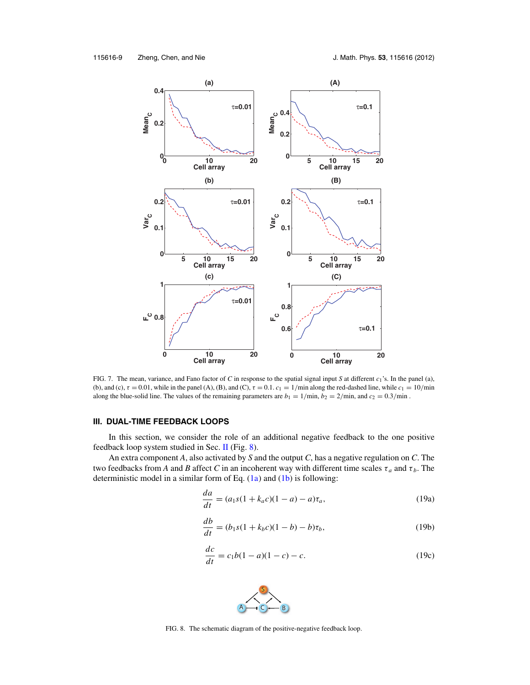<span id="page-9-0"></span>

FIG. 7. The mean, variance, and Fano factor of *C* in response to the spatial signal input *S* at different *c*1's. In the panel (a), (b), and (c),  $\tau = 0.01$ , while in the panel (A), (B), and (C),  $\tau = 0.1$ .  $c_1 = 1/\text{min}$  along the red-dashed line, while  $c_1 = 10/\text{min}$ along the blue-solid line. The values of the remaining parameters are  $b_1 = 1/\text{min}$ ,  $b_2 = 2/\text{min}$ , and  $c_2 = 0.3/\text{min}$ .

#### **III. DUAL-TIME FEEDBACK LOOPS**

In this section, we consider the role of an additional negative feedback to the one positive feedback loop system studied in Sec. [II](#page-3-0) (Fig. 8).

An extra component *A*, also activated by *S* and the output *C*, has a negative regulation on *C*. The two feedbacks from *A* and *B* affect *C* in an incoherent way with different time scales  $\tau_a$  and  $\tau_b$ . The deterministic model in a similar form of Eq. [\(1a\)](#page-3-0) and [\(1b\)](#page-3-0) is following:

$$
\frac{da}{dt} = (a_1s(1 + k_a c)(1 - a) - a)\tau_a,
$$
\n(19a)

$$
\frac{db}{dt} = (b_1s(1 + k_bc)(1 - b) - b)\tau_b,
$$
\n(19b)

$$
\frac{dc}{dt} = c_1 b(1 - a)(1 - c) - c.
$$
 (19c)



FIG. 8. The schematic diagram of the positive-negative feedback loop.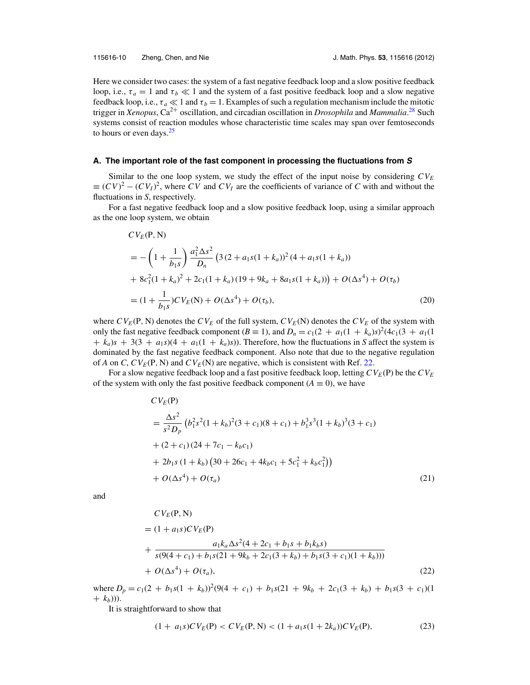<span id="page-10-0"></span>Here we consider two cases: the system of a fast negative feedback loop and a slow positive feedback loop, i.e.,  $\tau_a = 1$  and  $\tau_b \ll 1$  and the system of a fast positive feedback loop and a slow negative feedback loop, i.e.,  $\tau_a \ll 1$  and  $\tau_b = 1$ . Examples of such a regulation mechanism include the mitotic trigger in *Xenopus*, Ca<sup>2+</sup> oscillation, and circadian oscillation in *Drosophila* and *Mammalia*.<sup>[28](#page-13-0)</sup> Such systems consist of reaction modules whose characteristic time scales may span over femtoseconds to hours or even days. $25$ 

#### **A. The important role of the fast component in processing the fluctuations from S**

Similar to the one loop system, we study the effect of the input noise by considering  $CV_E$  $\equiv (CV)^2 - (CV)^2$ , where *CV* and *CV<sub>I</sub>* are the coefficients of variance of *C* with and without the fluctuations in *S*, respectively.

For a fast negative feedback loop and a slow positive feedback loop, using a similar approach as the one loop system, we obtain

$$
CV_E(P, N)
$$
  
=  $-\left(1 + \frac{1}{b_1s}\right) \frac{a_1^2 \Delta s^2}{D_n} \left(3(2 + a_1s(1 + k_a))^2 (4 + a_1s(1 + k_a))\right)$   
+  $8c_1^2 (1 + k_a)^2 + 2c_1 (1 + k_a) (19 + 9k_a + 8a_1s(1 + k_a)) \right) + O(\Delta s^4) + O(\tau_b)$   
=  $(1 + \frac{1}{b_1s})CV_E(N) + O(\Delta s^4) + O(\tau_b),$  (20)

where  $CV_E$ (P, N) denotes the  $CV_E$  of the full system,  $CV_E$ (N) denotes the  $CV_E$  of the system with only the fast negative feedback component ( $B \equiv 1$ ), and  $D_n = c_1(2 + a_1(1 + k_a)s)^2(4c_1(3 + a_1(1 + k_a))s)$  $+ k<sub>a</sub>$ )*s* + 3(3 + *a*<sub>1</sub>*s*)(4 + *a*<sub>1</sub>(1 + *k*<sub>a</sub>)*s*)). Therefore, how the fluctuations in *S* affect the system is dominated by the fast negative feedback component. Also note that due to the negative regulation of *A* on *C*,  $CV_E(P, N)$  and  $CV_E(N)$  are negative, which is consistent with Ref. [22.](#page-13-0)

For a slow negative feedback loop and a fast positive feedback loop, letting  $CV_E(P)$  be the  $CV_E$ of the system with only the fast positive feedback component ( $A \equiv 0$ ), we have

$$
CV_E(P)
$$
  
=  $\frac{\Delta s^2}{s^2 D_p} (b_1^2 s^2 (1 + k_b)^2 (3 + c_1)(8 + c_1) + b_1^3 s^3 (1 + k_b)^3 (3 + c_1)$   
+  $(2 + c_1) (24 + 7c_1 - k_b c_1)$   
+  $2b_1 s (1 + k_b) (30 + 26c_1 + 4k_b c_1 + 5c_1^2 + k_b c_1^2))$   
+  $O(\Delta s^4) + O(\tau_a)$  (21)

and

$$
CV_E(P, N)
$$
  
=  $(1 + a_1 s)CV_E(P)$   
+ 
$$
\frac{a_1 k_a \Delta s^2 (4 + 2c_1 + b_1 s + b_1 k_b s)}{s(9(4 + c_1) + b_1 s(21 + 9k_b + 2c_1(3 + k_b) + b_1 s(3 + c_1)(1 + k_b)))}
$$
  
+  $O(\Delta s^4) + O(\tau_a)$ , (22)

where  $D_p = c_1(2 + b_1s(1 + k_b))^2(9(4 + c_1) + b_1s(21 + 9k_b + 2c_1(3 + k_b) + b_1s(3 + c_1)(1$  $+ k<sub>b</sub>)$ ).

It is straightforward to show that

$$
(1 + a_1 s)CV_E(\mathbf{P}) < CV_E(\mathbf{P}, \mathbf{N}) < (1 + a_1 s(1 + 2k_a))CV_E(\mathbf{P}),\tag{23}
$$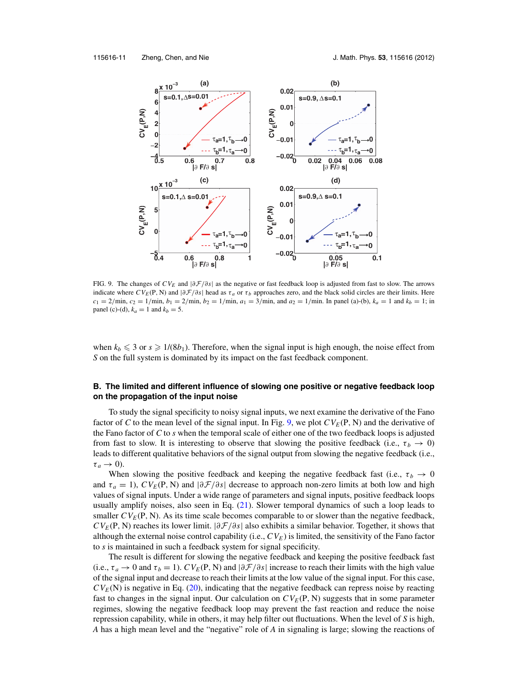

FIG. 9. The changes of *CVE* and |∂F/∂*s*| as the negative or fast feedback loop is adjusted from fast to slow. The arrows indicate where  $CV_E(P, N)$  and  $|\partial \mathcal{F}/\partial s|$  head as  $\tau_a$  or  $\tau_b$  approaches zero, and the black solid circles are their limits. Here  $c_1 = 2/\text{min}$ ,  $c_2 = 1/\text{min}$ ,  $b_1 = 2/\text{min}$ ,  $b_2 = 1/\text{min}$ ,  $a_1 = 3/\text{min}$ , and  $a_2 = 1/\text{min}$ . In panel (a)-(b),  $k_a = 1$  and  $k_b = 1$ ; in panel (c)-(d),  $k_a = 1$  and  $k_b = 5$ .

when  $k_b \leq 3$  or  $s \geq 1/(8b_1)$ . Therefore, when the signal input is high enough, the noise effect from *S* on the full system is dominated by its impact on the fast feedback component.

#### **B. The limited and different influence of slowing one positive or negative feedback loop on the propagation of the input noise**

To study the signal specificity to noisy signal inputs, we next examine the derivative of the Fano factor of *C* to the mean level of the signal input. In Fig. 9, we plot  $CV_E(P, N)$  and the derivative of the Fano factor of *C* to *s* when the temporal scale of either one of the two feedback loops is adjusted from fast to slow. It is interesting to observe that slowing the positive feedback (i.e.,  $\tau_b \rightarrow 0$ ) leads to different qualitative behaviors of the signal output from slowing the negative feedback (i.e.,  $\tau_a \rightarrow 0$ ).

When slowing the positive feedback and keeping the negative feedback fast (i.e.,  $\tau_b \rightarrow 0$ and  $\tau_a = 1$ ),  $CV_E(P, N)$  and  $|\partial \mathcal{F}/\partial s|$  decrease to approach non-zero limits at both low and high values of signal inputs. Under a wide range of parameters and signal inputs, positive feedback loops usually amplify noises, also seen in Eq. [\(21\)](#page-10-0). Slower temporal dynamics of such a loop leads to smaller  $CV_E(P, N)$ . As its time scale becomes comparable to or slower than the negative feedback, *CVE* (P, N) reaches its lower limit. |∂F/∂*s*| also exhibits a similar behavior. Together, it shows that although the external noise control capability (i.e.,  $CV_E$ ) is limited, the sensitivity of the Fano factor to *s* is maintained in such a feedback system for signal specificity.

The result is different for slowing the negative feedback and keeping the positive feedback fast (i.e.,  $\tau_a \to 0$  and  $\tau_b = 1$ ).  $CV_E(P, N)$  and  $|\partial \mathcal{F}/\partial s|$  increase to reach their limits with the high value of the signal input and decrease to reach their limits at the low value of the signal input. For this case,  $CV_E(N)$  is negative in Eq. [\(20\)](#page-10-0), indicating that the negative feedback can repress noise by reacting fast to changes in the signal input. Our calculation on  $CV_E(P, N)$  suggests that in some parameter regimes, slowing the negative feedback loop may prevent the fast reaction and reduce the noise repression capability, while in others, it may help filter out fluctuations. When the level of *S* is high, *A* has a high mean level and the "negative" role of *A* in signaling is large; slowing the reactions of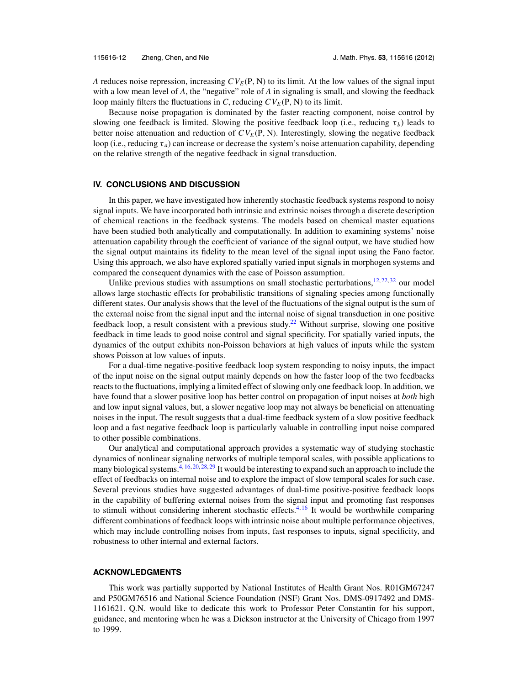*A* reduces noise repression, increasing  $CV_E(P, N)$  to its limit. At the low values of the signal input with a low mean level of *A*, the "negative" role of *A* in signaling is small, and slowing the feedback loop mainly filters the fluctuations in *C*, reducing  $CV_E(P, N)$  to its limit.

Because noise propagation is dominated by the faster reacting component, noise control by slowing one feedback is limited. Slowing the positive feedback loop (i.e., reducing  $\tau_b$ ) leads to better noise attenuation and reduction of  $CV_E(P, N)$ . Interestingly, slowing the negative feedback loop (i.e., reducing  $\tau_a$ ) can increase or decrease the system's noise attenuation capability, depending on the relative strength of the negative feedback in signal transduction.

#### **IV. CONCLUSIONS AND DISCUSSION**

In this paper, we have investigated how inherently stochastic feedback systems respond to noisy signal inputs. We have incorporated both intrinsic and extrinsic noises through a discrete description of chemical reactions in the feedback systems. The models based on chemical master equations have been studied both analytically and computationally. In addition to examining systems' noise attenuation capability through the coefficient of variance of the signal output, we have studied how the signal output maintains its fidelity to the mean level of the signal input using the Fano factor. Using this approach, we also have explored spatially varied input signals in morphogen systems and compared the consequent dynamics with the case of Poisson assumption.

Unlike previous studies with assumptions on small stochastic perturbations, $12, 22, 32$  $12, 22, 32$  $12, 22, 32$  $12, 22, 32$  $12, 22, 32$  our model allows large stochastic effects for probabilistic transitions of signaling species among functionally different states. Our analysis shows that the level of the fluctuations of the signal output is the sum of the external noise from the signal input and the internal noise of signal transduction in one positive feedback loop, a result consistent with a previous study.<sup>22</sup> Without surprise, slowing one positive feedback in time leads to good noise control and signal specificity. For spatially varied inputs, the dynamics of the output exhibits non-Poisson behaviors at high values of inputs while the system shows Poisson at low values of inputs.

For a dual-time negative-positive feedback loop system responding to noisy inputs, the impact of the input noise on the signal output mainly depends on how the faster loop of the two feedbacks reacts to the fluctuations, implying a limited effect of slowing only one feedback loop. In addition, we have found that a slower positive loop has better control on propagation of input noises at *both* high and low input signal values, but, a slower negative loop may not always be beneficial on attenuating noises in the input. The result suggests that a dual-time feedback system of a slow positive feedback loop and a fast negative feedback loop is particularly valuable in controlling input noise compared to other possible combinations.

Our analytical and computational approach provides a systematic way of studying stochastic dynamics of nonlinear signaling networks of multiple temporal scales, with possible applications to many biological systems.<sup>4, [16,](#page-13-0) [20,](#page-13-0) [28,](#page-13-0) [29](#page-13-0)</sup> It would be interesting to expand such an approach to include the effect of feedbacks on internal noise and to explore the impact of slow temporal scales for such case. Several previous studies have suggested advantages of dual-time positive-positive feedback loops in the capability of buffering external noises from the signal input and promoting fast responses to stimuli without considering inherent stochastic effects.<sup>[4,](#page-13-0) [16](#page-13-0)</sup> It would be worthwhile comparing different combinations of feedback loops with intrinsic noise about multiple performance objectives, which may include controlling noises from inputs, fast responses to inputs, signal specificity, and robustness to other internal and external factors.

#### **ACKNOWLEDGMENTS**

This work was partially supported by National Institutes of Health Grant Nos. R01GM67247 and P50GM76516 and National Science Foundation (NSF) Grant Nos. DMS-0917492 and DMS-1161621. Q.N. would like to dedicate this work to Professor Peter Constantin for his support, guidance, and mentoring when he was a Dickson instructor at the University of Chicago from 1997 to 1999.